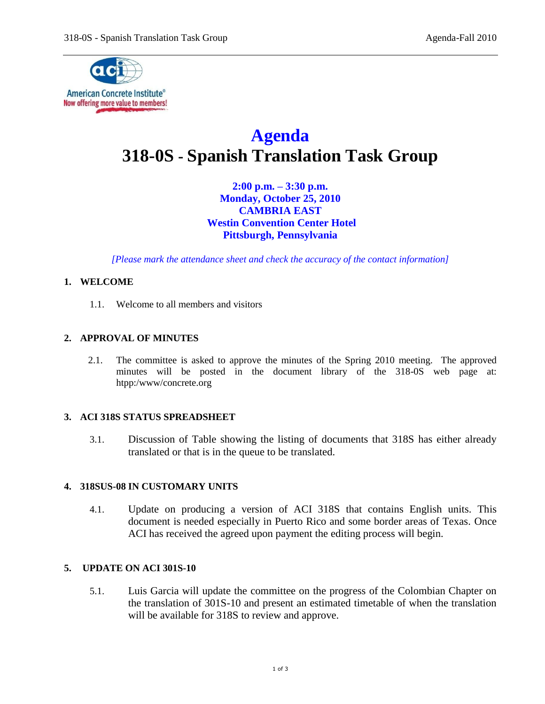

# **Agenda 318-0S - Spanish Translation Task Group**

**2:00 p.m. – 3:30 p.m. Monday, October 25, 2010 CAMBRIA EAST Westin Convention Center Hotel Pittsburgh, Pennsylvania**

*[Please mark the attendance sheet and check the accuracy of the contact information]*

# **1. WELCOME**

1.1. Welcome to all members and visitors

## **2. APPROVAL OF MINUTES**

2.1. The committee is asked to approve the minutes of the Spring 2010 meeting. The approved minutes will be posted in the document library of the 318-0S web page at: htpp:/www/concrete.org

## **3. ACI 318S STATUS SPREADSHEET**

3.1. Discussion of Table showing the listing of documents that 318S has either already translated or that is in the queue to be translated.

## **4. 318SUS-08 IN CUSTOMARY UNITS**

4.1. Update on producing a version of ACI 318S that contains English units. This document is needed especially in Puerto Rico and some border areas of Texas. Once ACI has received the agreed upon payment the editing process will begin.

#### **5. UPDATE ON ACI 301S-10**

5.1. Luis Garcia will update the committee on the progress of the Colombian Chapter on the translation of 301S-10 and present an estimated timetable of when the translation will be available for 318S to review and approve.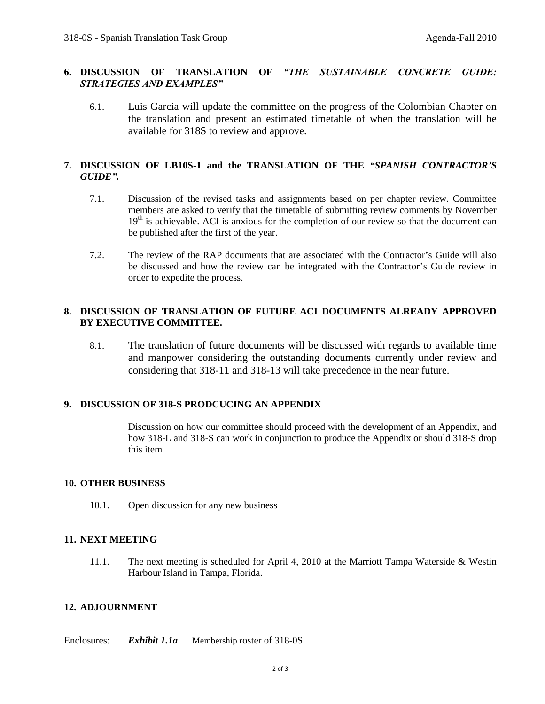## **6. DISCUSSION OF TRANSLATION OF** *"THE SUSTAINABLE CONCRETE GUIDE: STRATEGIES AND EXAMPLES"*

6.1. Luis Garcia will update the committee on the progress of the Colombian Chapter on the translation and present an estimated timetable of when the translation will be available for 318S to review and approve.

# **7. DISCUSSION OF LB10S-1 and the TRANSLATION OF THE** *"SPANISH CONTRACTOR'S GUIDE"***.**

- 7.1. Discussion of the revised tasks and assignments based on per chapter review. Committee members are asked to verify that the timetable of submitting review comments by November  $19<sup>th</sup>$  is achievable. ACI is anxious for the completion of our review so that the document can be published after the first of the year.
- 7.2. The review of the RAP documents that are associated with the Contractor's Guide will also be discussed and how the review can be integrated with the Contractor's Guide review in order to expedite the process.

## **8. DISCUSSION OF TRANSLATION OF FUTURE ACI DOCUMENTS ALREADY APPROVED BY EXECUTIVE COMMITTEE.**

8.1. The translation of future documents will be discussed with regards to available time and manpower considering the outstanding documents currently under review and considering that 318-11 and 318-13 will take precedence in the near future.

## **9. DISCUSSION OF 318-S PRODCUCING AN APPENDIX**

Discussion on how our committee should proceed with the development of an Appendix, and how 318-L and 318-S can work in conjunction to produce the Appendix or should 318-S drop this item

#### **10. OTHER BUSINESS**

10.1. Open discussion for any new business

#### **11. NEXT MEETING**

11.1. The next meeting is scheduled for April 4, 2010 at the Marriott Tampa Waterside & Westin Harbour Island in Tampa, Florida.

## **12. ADJOURNMENT**

Enclosures: *Exhibit 1.1a* Membership roster of 318-0S